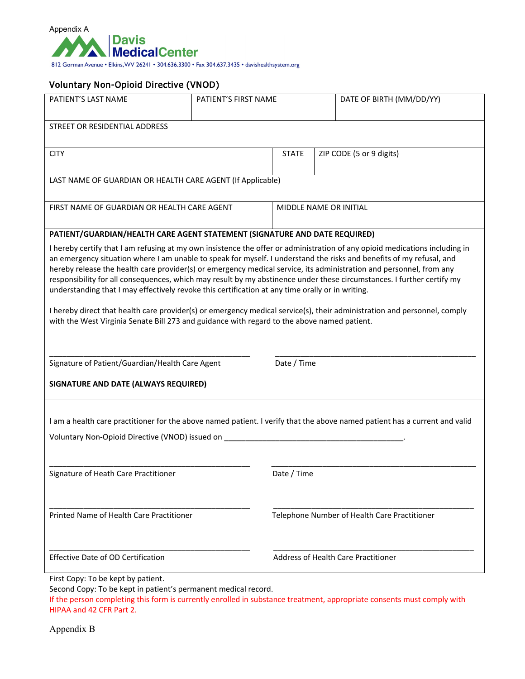

#### Voluntary Non-Opioid Directive (VNOD)

| PATIENT'S LAST NAME                                                                                                         | PATIENT'S FIRST NAME |                                              | DATE OF BIRTH (MM/DD/YY)                                                                                                   |  |  |  |  |
|-----------------------------------------------------------------------------------------------------------------------------|----------------------|----------------------------------------------|----------------------------------------------------------------------------------------------------------------------------|--|--|--|--|
|                                                                                                                             |                      |                                              |                                                                                                                            |  |  |  |  |
| STREET OR RESIDENTIAL ADDRESS                                                                                               |                      |                                              |                                                                                                                            |  |  |  |  |
|                                                                                                                             |                      |                                              |                                                                                                                            |  |  |  |  |
| <b>CITY</b>                                                                                                                 |                      | <b>STATE</b>                                 | ZIP CODE (5 or 9 digits)                                                                                                   |  |  |  |  |
|                                                                                                                             |                      |                                              |                                                                                                                            |  |  |  |  |
| LAST NAME OF GUARDIAN OR HEALTH CARE AGENT (If Applicable)                                                                  |                      |                                              |                                                                                                                            |  |  |  |  |
|                                                                                                                             |                      |                                              |                                                                                                                            |  |  |  |  |
| FIRST NAME OF GUARDIAN OR HEALTH CARE AGENT                                                                                 |                      | MIDDLE NAME OR INITIAL                       |                                                                                                                            |  |  |  |  |
|                                                                                                                             |                      |                                              |                                                                                                                            |  |  |  |  |
| PATIENT/GUARDIAN/HEALTH CARE AGENT STATEMENT (SIGNATURE AND DATE REQUIRED)                                                  |                      |                                              |                                                                                                                            |  |  |  |  |
| I hereby certify that I am refusing at my own insistence the offer or administration of any opioid medications including in |                      |                                              |                                                                                                                            |  |  |  |  |
|                                                                                                                             |                      |                                              | an emergency situation where I am unable to speak for myself. I understand the risks and benefits of my refusal, and       |  |  |  |  |
|                                                                                                                             |                      |                                              | hereby release the health care provider(s) or emergency medical service, its administration and personnel, from any        |  |  |  |  |
| responsibility for all consequences, which may result by my abstinence under these circumstances. I further certify my      |                      |                                              |                                                                                                                            |  |  |  |  |
| understanding that I may effectively revoke this certification at any time orally or in writing.                            |                      |                                              |                                                                                                                            |  |  |  |  |
|                                                                                                                             |                      |                                              | I hereby direct that health care provider(s) or emergency medical service(s), their administration and personnel, comply   |  |  |  |  |
| with the West Virginia Senate Bill 273 and guidance with regard to the above named patient.                                 |                      |                                              |                                                                                                                            |  |  |  |  |
|                                                                                                                             |                      |                                              |                                                                                                                            |  |  |  |  |
|                                                                                                                             |                      |                                              |                                                                                                                            |  |  |  |  |
| Signature of Patient/Guardian/Health Care Agent                                                                             |                      | Date / Time                                  |                                                                                                                            |  |  |  |  |
|                                                                                                                             |                      |                                              |                                                                                                                            |  |  |  |  |
| SIGNATURE AND DATE (ALWAYS REQUIRED)                                                                                        |                      |                                              |                                                                                                                            |  |  |  |  |
|                                                                                                                             |                      |                                              |                                                                                                                            |  |  |  |  |
|                                                                                                                             |                      |                                              |                                                                                                                            |  |  |  |  |
|                                                                                                                             |                      |                                              | I am a health care practitioner for the above named patient. I verify that the above named patient has a current and valid |  |  |  |  |
| Voluntary Non-Opioid Directive (VNOD) issued on <b>No. 1988</b> Section 2012 12:20 No. 1998                                 |                      |                                              |                                                                                                                            |  |  |  |  |
|                                                                                                                             |                      |                                              |                                                                                                                            |  |  |  |  |
|                                                                                                                             |                      |                                              |                                                                                                                            |  |  |  |  |
| Signature of Heath Care Practitioner                                                                                        |                      | Date / Time                                  |                                                                                                                            |  |  |  |  |
|                                                                                                                             |                      |                                              |                                                                                                                            |  |  |  |  |
|                                                                                                                             |                      |                                              |                                                                                                                            |  |  |  |  |
| Printed Name of Health Care Practitioner                                                                                    |                      | Telephone Number of Health Care Practitioner |                                                                                                                            |  |  |  |  |
|                                                                                                                             |                      |                                              |                                                                                                                            |  |  |  |  |
|                                                                                                                             |                      |                                              |                                                                                                                            |  |  |  |  |
|                                                                                                                             |                      |                                              |                                                                                                                            |  |  |  |  |
| <b>Effective Date of OD Certification</b>                                                                                   |                      |                                              | Address of Health Care Practitioner                                                                                        |  |  |  |  |
| First Copy: To be kept by patient.                                                                                          |                      |                                              |                                                                                                                            |  |  |  |  |

Second Copy: To be kept in patient's permanent medical record.

If the person completing this form is currently enrolled in substance treatment, appropriate consents must comply with HIPAA and 42 CFR Part 2.

Appendix B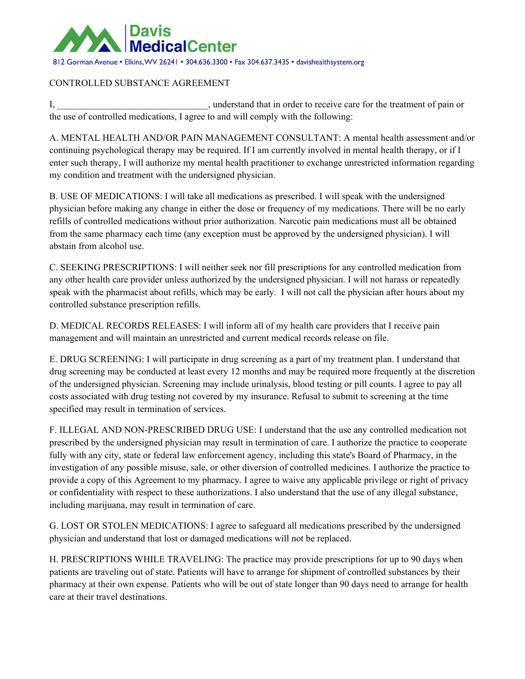

#### CONTROLLED SUBSTANCE AGREEMENT

I, **I** is a constant that in order to receive care for the treatment of pain or the use of controlled medications, I agree to and will comply with the following:

A. MENTAL HEALTH AND/OR PAIN MANAGEMENT CONSULTANT: A mental health assessment and/or continuing psychological therapy may be required. If I am currently involved in mental health therapy, or if I enter such therapy, I will authorize my mental health practitioner to exchange unrestricted information regarding my condition and treatment with the undersigned physician.

B. USE OF MEDICATIONS: I will take all medications as prescribed. I will speak with the undersigned physician before making any change in either the dose or frequency of my medications. There will be no early refills of controlled medications without prior authorization. Narcotic pain medications must all be obtained from the same pharmacy each time (any exception must be approved by the undersigned physician). I will abstain from alcohol use.

C. SEEKING PRESCRIPTIONS: I will neither seek nor fill prescriptions for any controlled medication from any other health care provider unless authorized by the undersigned physician. I will not harass or repeatedly speak with the pharmacist about refills, which may be early. I will not call the physician after hours about my controlled substance prescription refills.

D. MEDICAL RECORDS RELEASES: I will inform all of my health care providers that I receive pain management and will maintain an unrestricted and current medical records release on file.

E. DRUG SCREENING: I will participate in drug screening as a part of my treatment plan. I understand that drug screening may be conducted at least every 12 months and may be required more frequently at the discretion of the undersigned physician. Screening may include urinalysis, blood testing or pill counts. I agree to pay all costs associated with drug testing not covered by my insurance. Refusal to submit to screening at the time specified may result in termination of services.

F. ILLEGAL AND NON-PRESCRIBED DRUG USE: I understand that the use any controlled medication not prescribed by the undersigned physician may result in termination of care. I authorize the practice to cooperate fully with any city, state or federal law enforcement agency, including this state's Board of Pharmacy, in the investigation of any possible misuse, sale, or other diversion of controlled medicines. I authorize the practice to provide a copy of this Agreement to my pharmacy. I agree to waive any applicable privilege or right of privacy or confidentiality with respect to these authorizations. I also understand that the use of any illegal substance, including marijuana, may result in termination of care.

G. LOST OR STOLEN MEDICATIONS: I agree to safeguard all medications prescribed by the undersigned physician and understand that lost or damaged medications will not be replaced.

H. PRESCRIPTIONS WHILE TRAVELING: The practice may provide prescriptions for up to 90 days when patients are traveling out of state. Patients will have to arrange for shipment of controlled substances by their pharmacy at their own expense. Patients who will be out of state longer than 90 days need to arrange for health care at their travel destinations.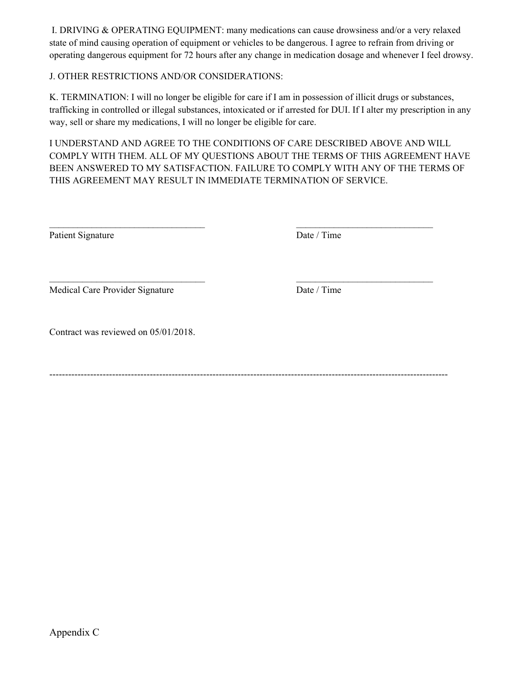I. DRIVING & OPERATING EQUIPMENT: many medications can cause drowsiness and/or a very relaxed state of mind causing operation of equipment or vehicles to be dangerous. I agree to refrain from driving or operating dangerous equipment for 72 hours after any change in medication dosage and whenever I feel drowsy.

#### J. OTHER RESTRICTIONS AND/OR CONSIDERATIONS:

K. TERMINATION: I will no longer be eligible for care if I am in possession of illicit drugs or substances, trafficking in controlled or illegal substances, intoxicated or if arrested for DUI. If I alter my prescription in any way, sell or share my medications, I will no longer be eligible for care.

I UNDERSTAND AND AGREE TO THE CONDITIONS OF CARE DESCRIBED ABOVE AND WILL COMPLY WITH THEM. ALL OF MY QUESTIONS ABOUT THE TERMS OF THIS AGREEMENT HAVE BEEN ANSWERED TO MY SATISFACTION. FAILURE TO COMPLY WITH ANY OF THE TERMS OF THIS AGREEMENT MAY RESULT IN IMMEDIATE TERMINATION OF SERVICE.

 $\_$ 

\_\_\_\_\_\_\_\_\_\_\_\_\_\_\_\_\_\_\_\_\_\_\_\_\_\_\_\_\_\_\_\_\_ \_\_\_\_\_\_\_\_\_\_\_\_\_\_\_\_\_\_\_\_\_\_\_\_\_\_\_\_\_

Patient Signature Date / Time

Medical Care Provider Signature Date / Time

Contract was reviewed on 05/01/2018.

-------------------------------------------------------------------------------------------------------------------------------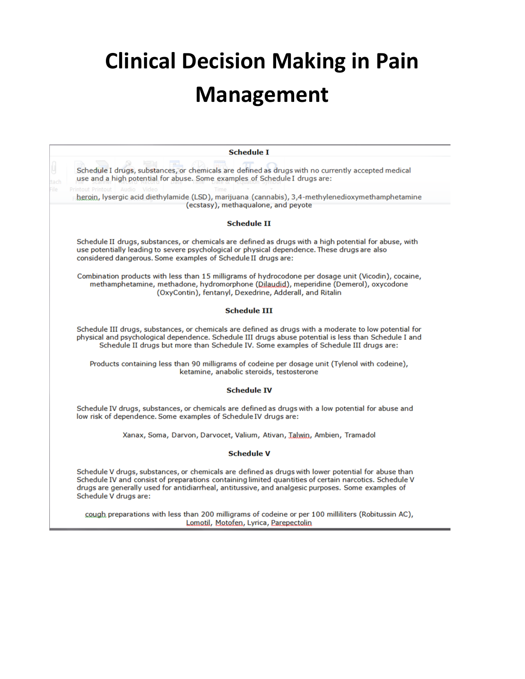# **Clinical Decision Making in Pain Management**

| <b>Schedule I</b>                                                                                                                                                                                                                                                                                                                           |  |  |  |  |  |
|---------------------------------------------------------------------------------------------------------------------------------------------------------------------------------------------------------------------------------------------------------------------------------------------------------------------------------------------|--|--|--|--|--|
| y<br>Schedule I drugs, substances, or chemicals are defined as drugs with no currently accepted medical<br>use and a high potential for abuse. Some examples of Schedule I drugs are:<br>tach<br>île<br>Printout Printout Audio                                                                                                             |  |  |  |  |  |
| heroin, lysergic acid diethylamide (LSD), marijuana (cannabis), 3,4-methylenedioxymethamphetamine                                                                                                                                                                                                                                           |  |  |  |  |  |
| (ecstasy), methaqualone, and peyote                                                                                                                                                                                                                                                                                                         |  |  |  |  |  |
| <b>Schedule II</b>                                                                                                                                                                                                                                                                                                                          |  |  |  |  |  |
| Schedule II drugs, substances, or chemicals are defined as drugs with a high potential for abuse, with<br>use potentially leading to severe psychological or physical dependence. These drugs are also<br>considered dangerous. Some examples of Schedule II drugs are:                                                                     |  |  |  |  |  |
| Combination products with less than 15 milligrams of hydrocodone per dosage unit (Vicodin), cocaine,<br>methamphetamine, methadone, hydromorphone (Dilaudid), meperidine (Demerol), oxycodone<br>(OxyContin), fentanyl, Dexedrine, Adderall, and Ritalin                                                                                    |  |  |  |  |  |
| <b>Schedule III</b>                                                                                                                                                                                                                                                                                                                         |  |  |  |  |  |
| Schedule III drugs, substances, or chemicals are defined as drugs with a moderate to low potential for<br>physical and psychological dependence. Schedule III drugs abuse potential is less than Schedule I and<br>Schedule II drugs but more than Schedule IV. Some examples of Schedule III drugs are:                                    |  |  |  |  |  |
| Products containing less than 90 milligrams of codeine per dosage unit (Tylenol with codeine),<br>ketamine, anabolic steroids, testosterone                                                                                                                                                                                                 |  |  |  |  |  |
| <b>Schedule IV</b>                                                                                                                                                                                                                                                                                                                          |  |  |  |  |  |
| Schedule IV drugs, substances, or chemicals are defined as drugs with a low potential for abuse and<br>low risk of dependence. Some examples of Schedule IV drugs are:                                                                                                                                                                      |  |  |  |  |  |
| Xanax, Soma, Darvon, Darvocet, Valium, Ativan, Talwin, Ambien, Tramadol                                                                                                                                                                                                                                                                     |  |  |  |  |  |
| <b>Schedule V</b>                                                                                                                                                                                                                                                                                                                           |  |  |  |  |  |
| Schedule V drugs, substances, or chemicals are defined as drugs with lower potential for abuse than<br>Schedule IV and consist of preparations containing limited quantities of certain narcotics. Schedule V<br>drugs are generally used for antidiarrheal, antitussive, and analgesic purposes. Some examples of<br>Schedule V drugs are: |  |  |  |  |  |
| cough preparations with less than 200 milligrams of codeine or per 100 milliliters (Robitussin AC),<br>Lomotil, Motofen, Lyrica, Parepectolin                                                                                                                                                                                               |  |  |  |  |  |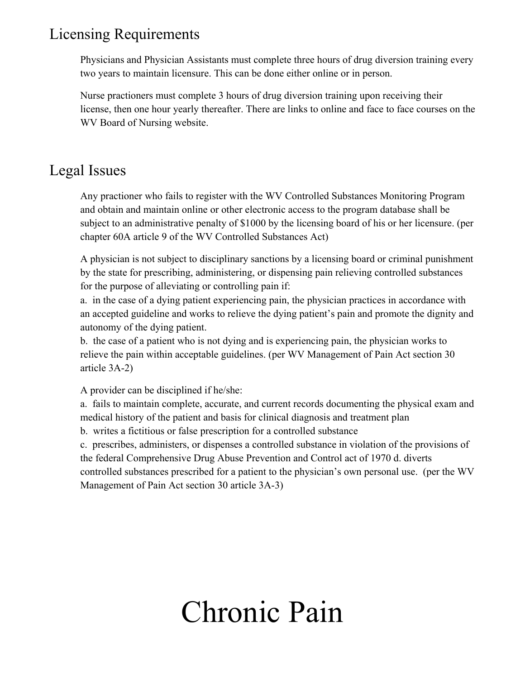# Licensing Requirements

Physicians and Physician Assistants must complete three hours of drug diversion training every two years to maintain licensure. This can be done either online or in person.

Nurse practioners must complete 3 hours of drug diversion training upon receiving their license, then one hour yearly thereafter. There are links to online and face to face courses on the WV Board of Nursing website.

# Legal Issues

Any practioner who fails to register with the WV Controlled Substances Monitoring Program and obtain and maintain online or other electronic access to the program database shall be subject to an administrative penalty of \$1000 by the licensing board of his or her licensure. (per chapter 60A article 9 of the WV Controlled Substances Act)

A physician is not subject to disciplinary sanctions by a licensing board or criminal punishment by the state for prescribing, administering, or dispensing pain relieving controlled substances for the purpose of alleviating or controlling pain if:

a. in the case of a dying patient experiencing pain, the physician practices in accordance with an accepted guideline and works to relieve the dying patient's pain and promote the dignity and autonomy of the dying patient.

b. the case of a patient who is not dying and is experiencing pain, the physician works to relieve the pain within acceptable guidelines. (per WV Management of Pain Act section 30 article 3A-2)

A provider can be disciplined if he/she:

a. fails to maintain complete, accurate, and current records documenting the physical exam and medical history of the patient and basis for clinical diagnosis and treatment plan

b. writes a fictitious or false prescription for a controlled substance

c. prescribes, administers, or dispenses a controlled substance in violation of the provisions of the federal Comprehensive Drug Abuse Prevention and Control act of 1970 d. diverts controlled substances prescribed for a patient to the physician's own personal use. (per the WV Management of Pain Act section 30 article 3A-3)

# Chronic Pain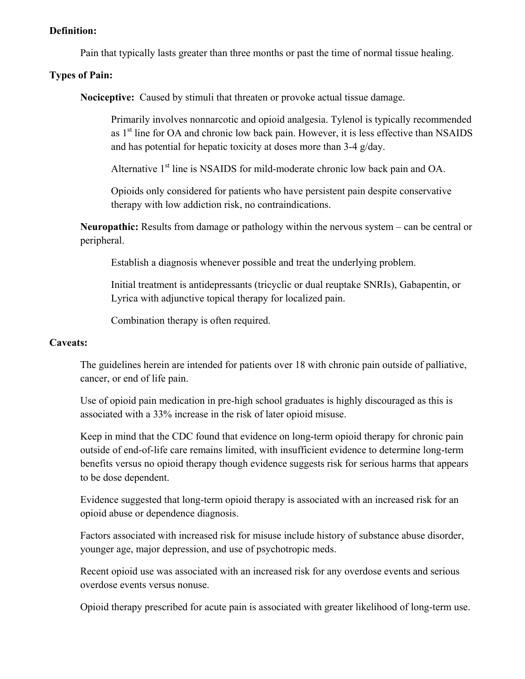#### **Definition:**

Pain that typically lasts greater than three months or past the time of normal tissue healing.

### **Types of Pain:**

**Nociceptive:** Caused by stimuli that threaten or provoke actual tissue damage.

Primarily involves nonnarcotic and opioid analgesia. Tylenol is typically recommended as  $1<sup>st</sup>$  line for OA and chronic low back pain. However, it is less effective than NSAIDS and has potential for hepatic toxicity at doses more than 3-4 g/day.

Alternative 1<sup>st</sup> line is NSAIDS for mild-moderate chronic low back pain and OA.

Opioids only considered for patients who have persistent pain despite conservative therapy with low addiction risk, no contraindications.

**Neuropathic:** Results from damage or pathology within the nervous system – can be central or peripheral.

Establish a diagnosis whenever possible and treat the underlying problem.

Initial treatment is antidepressants (tricyclic or dual reuptake SNRIs), Gabapentin, or Lyrica with adjunctive topical therapy for localized pain.

Combination therapy is often required.

#### **Caveats:**

The guidelines herein are intended for patients over 18 with chronic pain outside of palliative, cancer, or end of life pain.

Use of opioid pain medication in pre-high school graduates is highly discouraged as this is associated with a 33% increase in the risk of later opioid misuse.

Keep in mind that the CDC found that evidence on long-term opioid therapy for chronic pain outside of end-of-life care remains limited, with insufficient evidence to determine long-term benefits versus no opioid therapy though evidence suggests risk for serious harms that appears to be dose dependent.

Evidence suggested that long-term opioid therapy is associated with an increased risk for an opioid abuse or dependence diagnosis.

Factors associated with increased risk for misuse include history of substance abuse disorder, younger age, major depression, and use of psychotropic meds.

Recent opioid use was associated with an increased risk for any overdose events and serious overdose events versus nonuse.

Opioid therapy prescribed for acute pain is associated with greater likelihood of long-term use.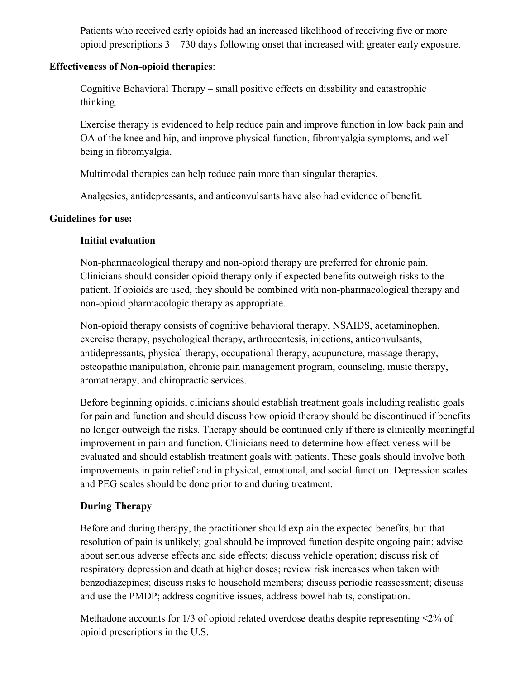Patients who received early opioids had an increased likelihood of receiving five or more opioid prescriptions 3—730 days following onset that increased with greater early exposure.

## **Effectiveness of Non-opioid therapies**:

Cognitive Behavioral Therapy – small positive effects on disability and catastrophic thinking.

Exercise therapy is evidenced to help reduce pain and improve function in low back pain and OA of the knee and hip, and improve physical function, fibromyalgia symptoms, and wellbeing in fibromyalgia.

Multimodal therapies can help reduce pain more than singular therapies.

Analgesics, antidepressants, and anticonvulsants have also had evidence of benefit.

# **Guidelines for use:**

# **Initial evaluation**

Non-pharmacological therapy and non-opioid therapy are preferred for chronic pain. Clinicians should consider opioid therapy only if expected benefits outweigh risks to the patient. If opioids are used, they should be combined with non-pharmacological therapy and non-opioid pharmacologic therapy as appropriate.

Non-opioid therapy consists of cognitive behavioral therapy, NSAIDS, acetaminophen, exercise therapy, psychological therapy, arthrocentesis, injections, anticonvulsants, antidepressants, physical therapy, occupational therapy, acupuncture, massage therapy, osteopathic manipulation, chronic pain management program, counseling, music therapy, aromatherapy, and chiropractic services.

Before beginning opioids, clinicians should establish treatment goals including realistic goals for pain and function and should discuss how opioid therapy should be discontinued if benefits no longer outweigh the risks. Therapy should be continued only if there is clinically meaningful improvement in pain and function. Clinicians need to determine how effectiveness will be evaluated and should establish treatment goals with patients. These goals should involve both improvements in pain relief and in physical, emotional, and social function. Depression scales and PEG scales should be done prior to and during treatment.

# **During Therapy**

Before and during therapy, the practitioner should explain the expected benefits, but that resolution of pain is unlikely; goal should be improved function despite ongoing pain; advise about serious adverse effects and side effects; discuss vehicle operation; discuss risk of respiratory depression and death at higher doses; review risk increases when taken with benzodiazepines; discuss risks to household members; discuss periodic reassessment; discuss and use the PMDP; address cognitive issues, address bowel habits, constipation.

Methadone accounts for 1/3 of opioid related overdose deaths despite representing <2% of opioid prescriptions in the U.S.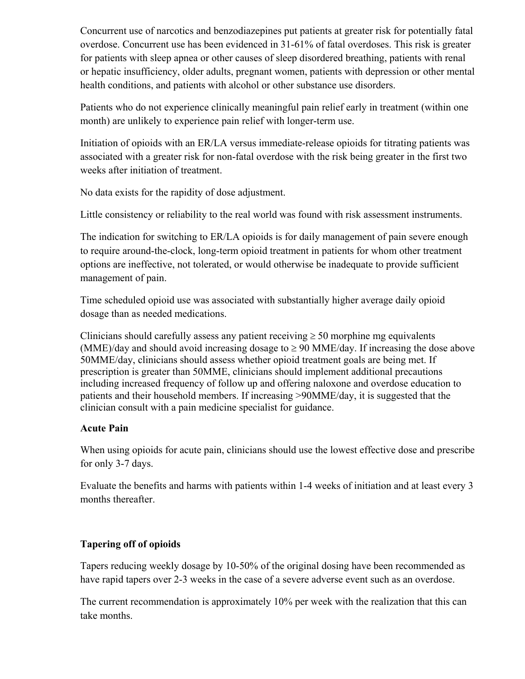Concurrent use of narcotics and benzodiazepines put patients at greater risk for potentially fatal overdose. Concurrent use has been evidenced in 31-61% of fatal overdoses. This risk is greater for patients with sleep apnea or other causes of sleep disordered breathing, patients with renal or hepatic insufficiency, older adults, pregnant women, patients with depression or other mental health conditions, and patients with alcohol or other substance use disorders.

Patients who do not experience clinically meaningful pain relief early in treatment (within one month) are unlikely to experience pain relief with longer-term use.

Initiation of opioids with an ER/LA versus immediate-release opioids for titrating patients was associated with a greater risk for non-fatal overdose with the risk being greater in the first two weeks after initiation of treatment.

No data exists for the rapidity of dose adjustment.

Little consistency or reliability to the real world was found with risk assessment instruments.

The indication for switching to ER/LA opioids is for daily management of pain severe enough to require around-the-clock, long-term opioid treatment in patients for whom other treatment options are ineffective, not tolerated, or would otherwise be inadequate to provide sufficient management of pain.

Time scheduled opioid use was associated with substantially higher average daily opioid dosage than as needed medications.

Clinicians should carefully assess any patient receiving  $\geq$  50 morphine mg equivalents (MME)/day and should avoid increasing dosage to  $\geq$  90 MME/day. If increasing the dose above 50MME/day, clinicians should assess whether opioid treatment goals are being met. If prescription is greater than 50MME, clinicians should implement additional precautions including increased frequency of follow up and offering naloxone and overdose education to patients and their household members. If increasing >90MME/day, it is suggested that the clinician consult with a pain medicine specialist for guidance.

### **Acute Pain**

When using opioids for acute pain, clinicians should use the lowest effective dose and prescribe for only 3-7 days.

Evaluate the benefits and harms with patients within 1-4 weeks of initiation and at least every 3 months thereafter.

# **Tapering off of opioids**

Tapers reducing weekly dosage by 10-50% of the original dosing have been recommended as have rapid tapers over 2-3 weeks in the case of a severe adverse event such as an overdose.

The current recommendation is approximately 10% per week with the realization that this can take months.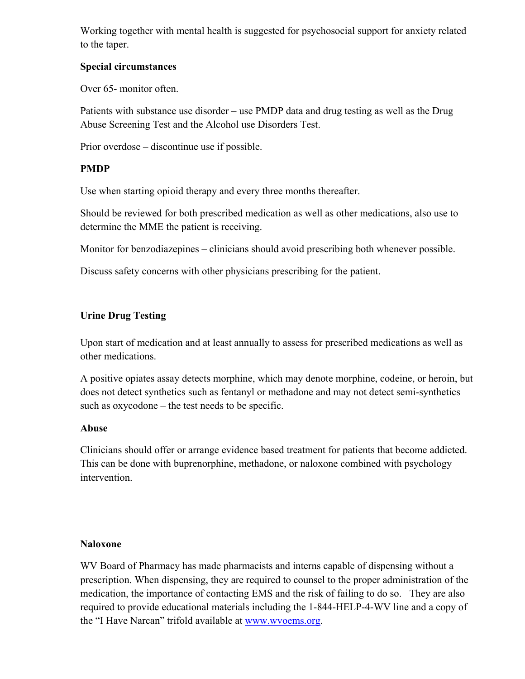Working together with mental health is suggested for psychosocial support for anxiety related to the taper.

## **Special circumstances**

Over 65- monitor often.

Patients with substance use disorder – use PMDP data and drug testing as well as the Drug Abuse Screening Test and the Alcohol use Disorders Test.

Prior overdose – discontinue use if possible.

# **PMDP**

Use when starting opioid therapy and every three months thereafter.

Should be reviewed for both prescribed medication as well as other medications, also use to determine the MME the patient is receiving.

Monitor for benzodiazepines – clinicians should avoid prescribing both whenever possible.

Discuss safety concerns with other physicians prescribing for the patient.

# **Urine Drug Testing**

Upon start of medication and at least annually to assess for prescribed medications as well as other medications.

A positive opiates assay detects morphine, which may denote morphine, codeine, or heroin, but does not detect synthetics such as fentanyl or methadone and may not detect semi-synthetics such as oxycodone – the test needs to be specific.

# **Abuse**

Clinicians should offer or arrange evidence based treatment for patients that become addicted. This can be done with buprenorphine, methadone, or naloxone combined with psychology intervention.

### **Naloxone**

WV Board of Pharmacy has made pharmacists and interns capable of dispensing without a prescription. When dispensing, they are required to counsel to the proper administration of the medication, the importance of contacting EMS and the risk of failing to do so. They are also required to provide educational materials including the 1-844-HELP-4-WV line and a copy of the "I Have Narcan" trifold available at [www.wvoems.org.](http://www.wvoems.org/)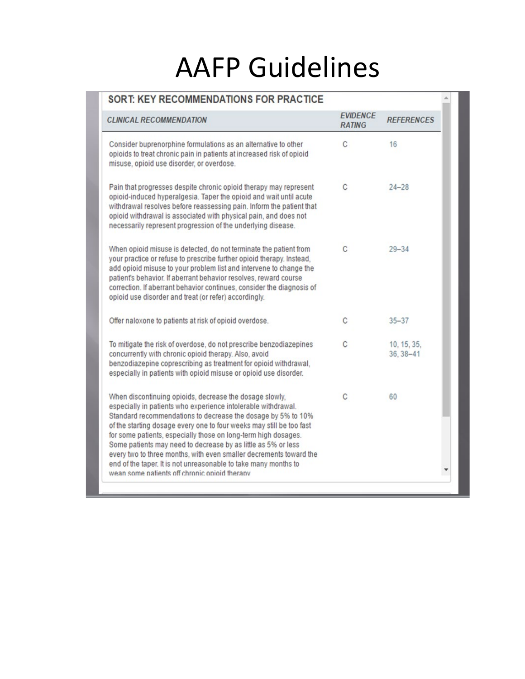# AAFP Guidelines

| <b>CLINICAL RECOMMENDATION</b>                                                                                                                                                                                                                                                                                                                                                                                                                                                                                                                                                                | <b>EVIDENCE</b><br><b>RATING</b> | <b>REFERENCES</b>        |
|-----------------------------------------------------------------------------------------------------------------------------------------------------------------------------------------------------------------------------------------------------------------------------------------------------------------------------------------------------------------------------------------------------------------------------------------------------------------------------------------------------------------------------------------------------------------------------------------------|----------------------------------|--------------------------|
| Consider buprenorphine formulations as an alternative to other<br>opioids to treat chronic pain in patients at increased risk of opioid<br>misuse, opioid use disorder, or overdose.                                                                                                                                                                                                                                                                                                                                                                                                          | C                                | 16                       |
| Pain that progresses despite chronic opioid therapy may represent<br>opioid-induced hyperalgesia. Taper the opioid and wait until acute<br>withdrawal resolves before reassessing pain. Inform the patient that<br>opioid withdrawal is associated with physical pain, and does not<br>necessarily represent progression of the underlying disease.                                                                                                                                                                                                                                           | C                                | $24 - 28$                |
| When opioid misuse is detected, do not terminate the patient from<br>your practice or refuse to prescribe further opioid therapy. Instead,<br>add opioid misuse to your problem list and intervene to change the<br>patient's behavior. If aberrant behavior resolves, reward course<br>correction. If aberrant behavior continues, consider the diagnosis of<br>opioid use disorder and treat (or refer) accordingly.                                                                                                                                                                        | C                                | $29 - 34$                |
| Offer naloxone to patients at risk of opioid overdose.                                                                                                                                                                                                                                                                                                                                                                                                                                                                                                                                        | C                                | $35 - 37$                |
| To mitigate the risk of overdose, do not prescribe benzodiazepines<br>concurrently with chronic opioid therapy. Also, avoid<br>benzodiazepine coprescribing as treatment for opioid withdrawal,<br>especially in patients with opioid misuse or opioid use disorder.                                                                                                                                                                                                                                                                                                                          | C                                | 10, 15, 35,<br>36, 38-41 |
| When discontinuing opioids, decrease the dosage slowly,<br>especially in patients who experience intolerable withdrawal.<br>Standard recommendations to decrease the dosage by 5% to 10%<br>of the starting dosage every one to four weeks may still be too fast<br>for some patients, especially those on long-term high dosages.<br>Some patients may need to decrease by as little as 5% or less<br>every two to three months, with even smaller decrements toward the<br>end of the taper. It is not unreasonable to take many months to<br>wean some patients off chronic opioid therapy | C                                | 60                       |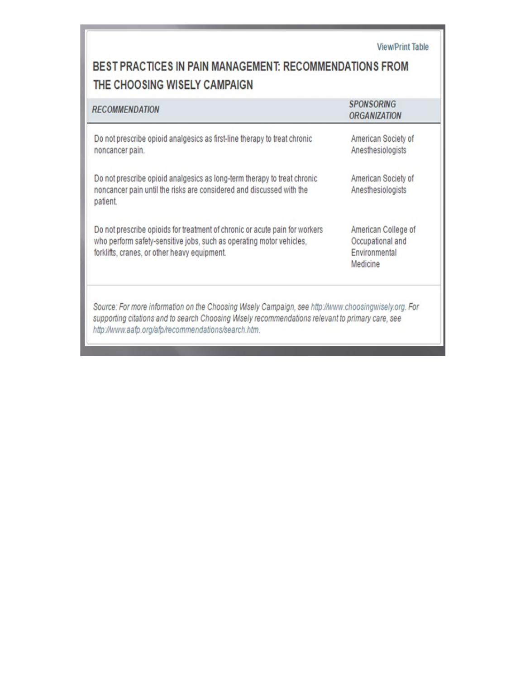| BEST PRACTICES IN PAIN MANAGEMENT: RECOMMENDATIONS FROM |  |
|---------------------------------------------------------|--|
| THE CHOOSING WISELY CAMPAIGN                            |  |

**View/Print Table** 

| <b>RECOMMENDATION</b>                                                                                                                                                                                                                                           | <b>SPONSORING</b><br><b>ORGANIZATION</b>                             |
|-----------------------------------------------------------------------------------------------------------------------------------------------------------------------------------------------------------------------------------------------------------------|----------------------------------------------------------------------|
| Do not prescribe opioid analgesics as first-line therapy to treat chronic<br>noncancer pain.                                                                                                                                                                    | American Society of<br>Anesthesiologists                             |
| Do not prescribe opioid analgesics as long-term therapy to treat chronic<br>noncancer pain until the risks are considered and discussed with the<br>patient.                                                                                                    | American Society of<br>Anesthesiologists                             |
| Do not prescribe opioids for treatment of chronic or acute pain for workers<br>who perform safety-sensitive jobs, such as operating motor vehicles,<br>forklifts, cranes, or other heavy equipment.                                                             | American College of<br>Occupational and<br>Environmental<br>Medicine |
| Source: For more information on the Choosing Wisely Campaign, see http://www.choosingwisely.org. For<br>supporting citations and to search Choosing Wisely recommendations relevant to primary care, see<br>http://www.aafp.org/afp/recommendations/search.htm. |                                                                      |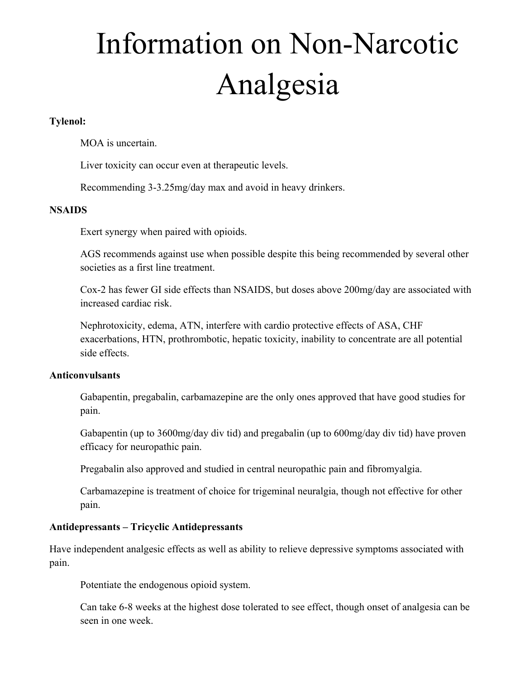# Information on Non-Narcotic Analgesia

### **Tylenol:**

MOA is uncertain.

Liver toxicity can occur even at therapeutic levels.

Recommending 3-3.25mg/day max and avoid in heavy drinkers.

#### **NSAIDS**

Exert synergy when paired with opioids.

AGS recommends against use when possible despite this being recommended by several other societies as a first line treatment.

Cox-2 has fewer GI side effects than NSAIDS, but doses above 200mg/day are associated with increased cardiac risk.

Nephrotoxicity, edema, ATN, interfere with cardio protective effects of ASA, CHF exacerbations, HTN, prothrombotic, hepatic toxicity, inability to concentrate are all potential side effects.

#### **Anticonvulsants**

Gabapentin, pregabalin, carbamazepine are the only ones approved that have good studies for pain.

Gabapentin (up to 3600mg/day div tid) and pregabalin (up to 600mg/day div tid) have proven efficacy for neuropathic pain.

Pregabalin also approved and studied in central neuropathic pain and fibromyalgia.

Carbamazepine is treatment of choice for trigeminal neuralgia, though not effective for other pain.

### **Antidepressants – Tricyclic Antidepressants**

Have independent analgesic effects as well as ability to relieve depressive symptoms associated with pain.

Potentiate the endogenous opioid system.

Can take 6-8 weeks at the highest dose tolerated to see effect, though onset of analgesia can be seen in one week.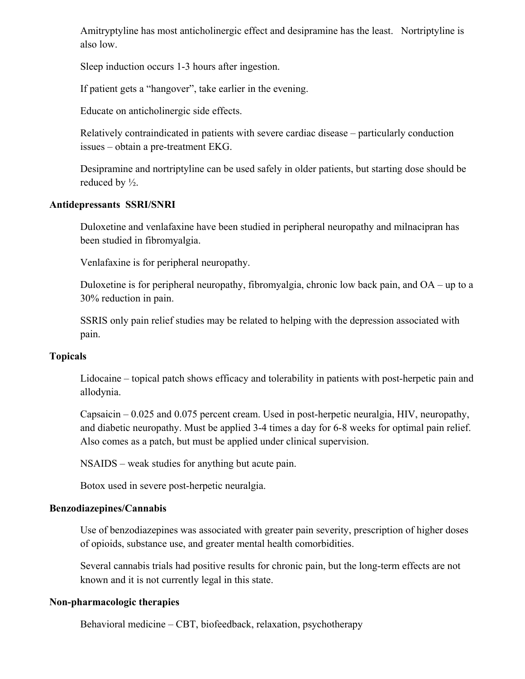Amitryptyline has most anticholinergic effect and desipramine has the least. Nortriptyline is also low.

Sleep induction occurs 1-3 hours after ingestion.

If patient gets a "hangover", take earlier in the evening.

Educate on anticholinergic side effects.

Relatively contraindicated in patients with severe cardiac disease – particularly conduction issues – obtain a pre-treatment EKG.

Desipramine and nortriptyline can be used safely in older patients, but starting dose should be reduced by ½.

#### **Antidepressants SSRI/SNRI**

Duloxetine and venlafaxine have been studied in peripheral neuropathy and milnacipran has been studied in fibromyalgia.

Venlafaxine is for peripheral neuropathy.

Duloxetine is for peripheral neuropathy, fibromyalgia, chronic low back pain, and OA – up to a 30% reduction in pain.

SSRIS only pain relief studies may be related to helping with the depression associated with pain.

#### **Topicals**

Lidocaine – topical patch shows efficacy and tolerability in patients with post-herpetic pain and allodynia.

Capsaicin – 0.025 and 0.075 percent cream. Used in post-herpetic neuralgia, HIV, neuropathy, and diabetic neuropathy. Must be applied 3-4 times a day for 6-8 weeks for optimal pain relief. Also comes as a patch, but must be applied under clinical supervision.

NSAIDS – weak studies for anything but acute pain.

Botox used in severe post-herpetic neuralgia.

#### **Benzodiazepines/Cannabis**

Use of benzodiazepines was associated with greater pain severity, prescription of higher doses of opioids, substance use, and greater mental health comorbidities.

Several cannabis trials had positive results for chronic pain, but the long-term effects are not known and it is not currently legal in this state.

#### **Non-pharmacologic therapies**

Behavioral medicine – CBT, biofeedback, relaxation, psychotherapy